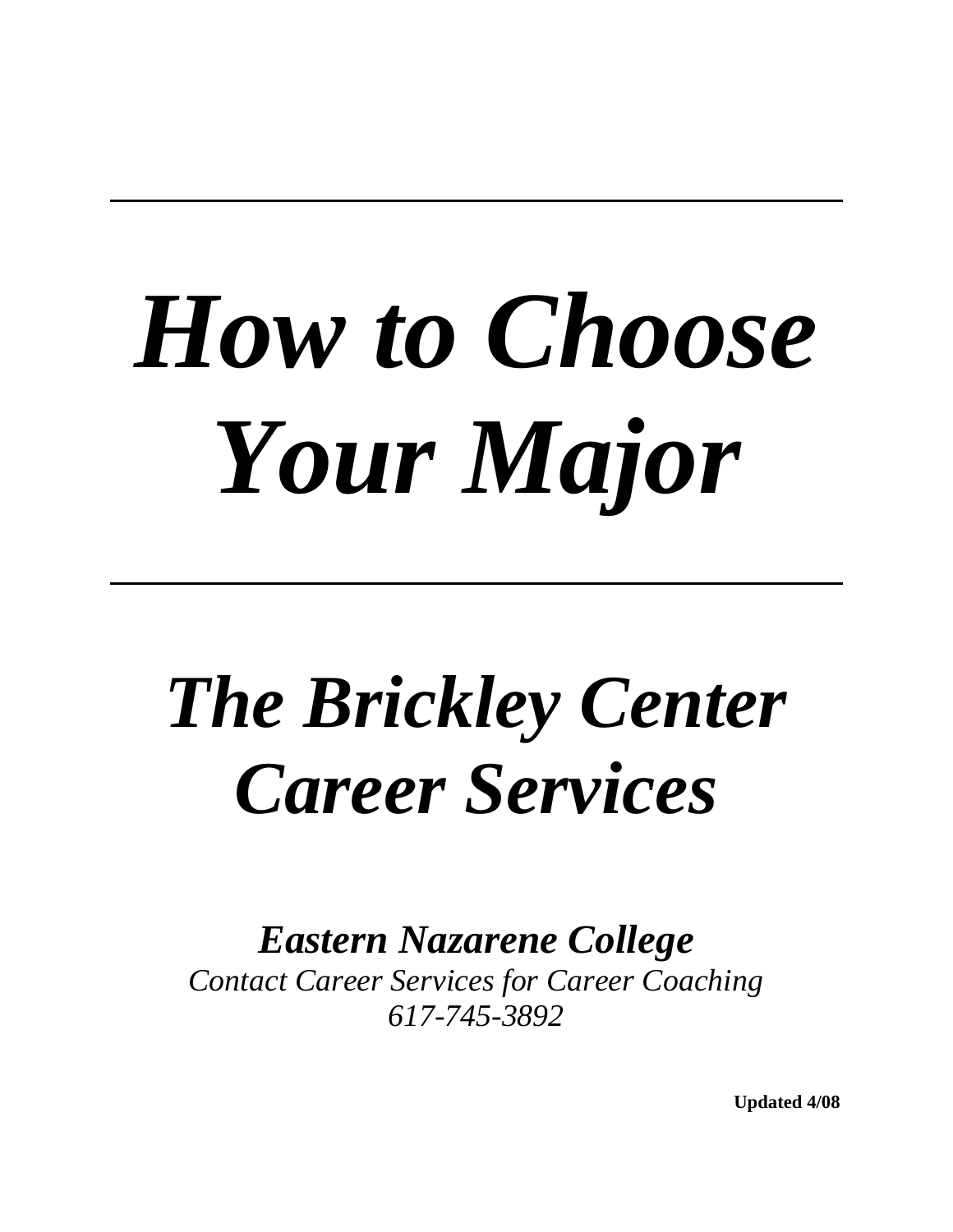## *How to Choose Your Major*

## *The Brickley Center Career Services*

*Eastern Nazarene College* 

*Contact Career Services for Career Coaching 617-745-3892* 

**Updated 4/08**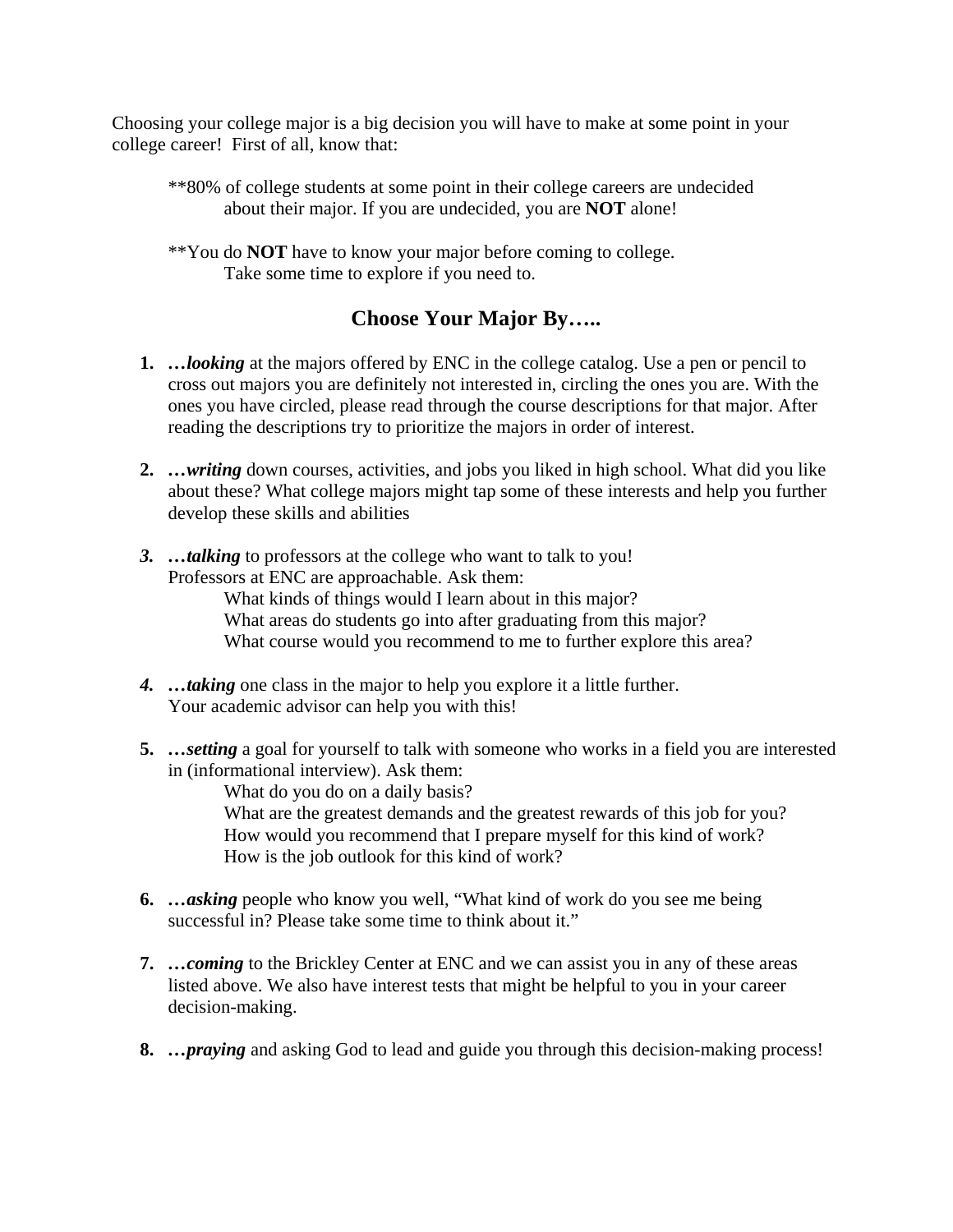Choosing your college major is a big decision you will have to make at some point in your college career! First of all, know that:

- \*\*80% of college students at some point in their college careers are undecided about their major. If you are undecided, you are **NOT** alone!
- \*\*You do **NOT** have to know your major before coming to college. Take some time to explore if you need to.

## **Choose Your Major By…..**

- **1.** *…looking* at the majors offered by ENC in the college catalog. Use a pen or pencil to cross out majors you are definitely not interested in, circling the ones you are. With the ones you have circled, please read through the course descriptions for that major. After reading the descriptions try to prioritize the majors in order of interest.
- **2.** *…writing* down courses, activities, and jobs you liked in high school. What did you like about these? What college majors might tap some of these interests and help you further develop these skills and abilities
- *3. …talking* to professors at the college who want to talk to you! Professors at ENC are approachable. Ask them:

 What kinds of things would I learn about in this major? What areas do students go into after graduating from this major? What course would you recommend to me to further explore this area?

- *4. …taking* one class in the major to help you explore it a little further. Your academic advisor can help you with this!
- **5.** *…setting* a goal for yourself to talk with someone who works in a field you are interested in (informational interview). Ask them:

What do you do on a daily basis?

What are the greatest demands and the greatest rewards of this job for you? How would you recommend that I prepare myself for this kind of work? How is the job outlook for this kind of work?

- **6.** *…asking* people who know you well, "What kind of work do you see me being successful in? Please take some time to think about it."
- **7.** *…coming* to the Brickley Center at ENC and we can assist you in any of these areas listed above. We also have interest tests that might be helpful to you in your career decision-making.
- **8.** *…praying* and asking God to lead and guide you through this decision-making process!